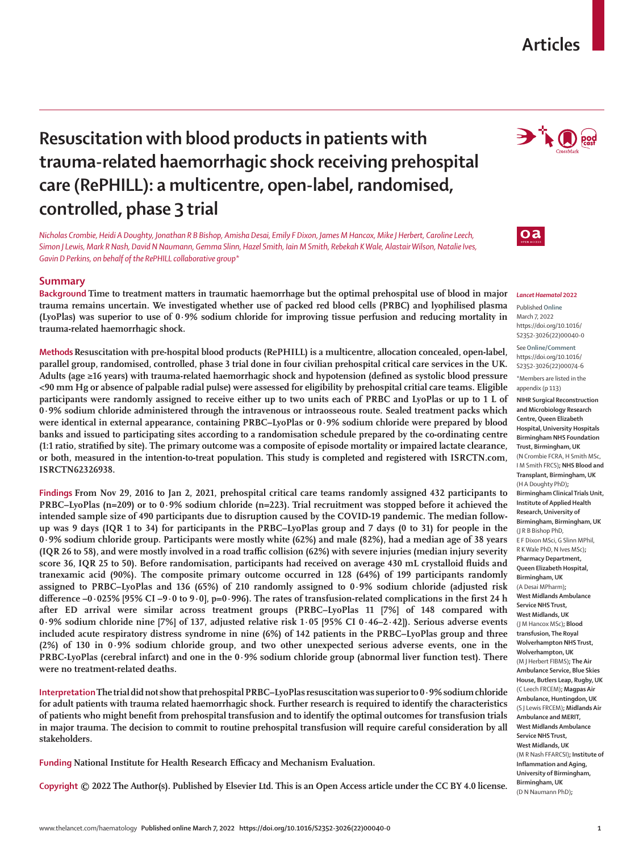# **Articles**

# **Resuscitation with blood products in patients with trauma-related haemorrhagic shock receiving prehospital care (RePHILL): a multicentre, open-label, randomised, controlled, phase 3 trial**

*Nicholas Crombie, Heidi A Doughty, Jonathan R B Bishop, Amisha Desai, Emily F Dixon, James M Hancox, Mike J Herbert, Caroline Leech, Simon J Lewis, Mark R Nash, David N Naumann, Gemma Slinn, Hazel Smith, Iain M Smith, Rebekah K Wale, Alastair Wilson, Natalie Ives, Gavin D Perkins, on behalf of the RePHILL collaborative group\**

# **Summary**

**Background Time to treatment matters in traumatic haemorrhage but the optimal prehospital use of blood in major trauma remains uncertain. We investigated whether use of packed red blood cells (PRBC) and lyophilised plasma (LyoPlas) was superior to use of 0·9% sodium chloride for improving tissue perfusion and reducing mortality in trauma-related haemorrhagic shock.**

**Methods Resuscitation with pre-hospital blood products (RePHILL) is a multicentre, allocation concealed, open-label, parallel group, randomised, controlled, phase 3 trial done in four civilian prehospital critical care services in the UK. Adults (age ≥16 years) with trauma-related haemorrhagic shock and hypotension (defined as systolic blood pressure <90 mm Hg or absence of palpable radial pulse) were assessed for eligibility by prehospital critial care teams. Eligible participants were randomly assigned to receive either up to two units each of PRBC and LyoPlas or up to 1 L of 0·9% sodium chloride administered through the intravenous or intraosseous route. Sealed treatment packs which were identical in external appearance, containing PRBC–LyoPlas or 0·9% sodium chloride were prepared by blood banks and issued to participating sites according to a randomisation schedule prepared by the co-ordinating centre (1:1 ratio, stratified by site). The primary outcome was a composite of episode mortality or impaired lactate clearance, or both, measured in the intention-to-treat population. This study is completed and registered with ISRCTN.com, ISRCTN62326938.**

**Findings From Nov 29, 2016 to Jan 2, 2021, prehospital critical care teams randomly assigned 432 participants to PRBC–LyoPlas (n=209) or to 0·9% sodium chloride (n=223). Trial recruitment was stopped before it achieved the intended sample size of 490 participants due to disruption caused by the COVID-19 pandemic. The median followup was 9 days (IQR 1 to 34) for participants in the PRBC–LyoPlas group and 7 days (0 to 31) for people in the 0·9% sodium chloride group. Participants were mostly white (62%) and male (82%), had a median age of 38 years (IQR 26 to 58), and were mostly involved in a road traffic collision (62%) with severe injuries (median injury severity score 36, IQR 25 to 50). Before randomisation, participants had received on average 430 mL crystalloid fluids and tranexamic acid (90%). The composite primary outcome occurred in 128 (64%) of 199 participants randomly assigned to PRBC–LyoPlas and 136 (65%) of 210 randomly assigned to 0·9% sodium chloride (adjusted risk difference –0·025% [95% CI –9·0 to 9·0], p=0·996). The rates of transfusion-related complications in the first 24 h after ED arrival were similar across treatment groups (PRBC–LyoPlas 11 [7%] of 148 compared with 0·9% sodium chloride nine [7%] of 137, adjusted relative risk 1·05 [95% CI 0·46–2·42]). Serious adverse events included acute respiratory distress syndrome in nine (6%) of 142 patients in the PRBC–LyoPlas group and three (2%) of 130 in 0·9% sodium chloride group, and two other unexpected serious adverse events, one in the PRBC-LyoPlas (cerebral infarct) and one in the 0·9% sodium chloride group (abnormal liver function test). There were no treatment-related deaths.**

**Interpretation The trial did not show that prehospital PRBC–LyoPlas resuscitation was superior to 0·9% sodium chloride for adult patients with trauma related haemorrhagic shock. Further research is required to identify the characteristics of patients who might benefit from prehospital transfusion and to identify the optimal outcomes for transfusion trials in major trauma. The decision to commit to routine prehospital transfusion will require careful consideration by all stakeholders.**

**Funding National Institute for Health Research Efficacy and Mechanism Evaluation.**

**Copyright © 2022 The Author(s). Published by Elsevier Ltd. This is an Open Access article under the CC BY 4.0 license.**





#### *Lancet Haematol* **2022**

Published **Online** March 7, 2022 https://doi.org/10.1016/ S2352-3026(22)00040-0

See**Online/Comment** https://doi.org/10.1016/ S2352-3026(22)00074-6

\*Members are listed in the appendix (p 113)

**NIHR Surgical Reconstruction and Microbiology Research Centre, Queen Elizabeth Hospital, University Hospitals Birmingham NHS Foundation Trust, Birmingham, UK**  (N Crombie FCRA, H Smith MSc, I M Smith FRCS)**; NHS Blood and Transplant, Birmingham, UK**  (H A Doughty PhD)**; Birmingham Clinical Trials Unit, Institute of Applied Health Research, University of Birmingham, Birmingham, UK**  (J R B Bishop PhD, E F Dixon MSci, G Slinn MPhil, R K Wale PhD, N Ives MSc)**; Pharmacy Department, Queen Elizabeth Hospital, Birmingham, UK**  (A Desai MPharm)**; West Midlands Ambulance Service NHS Trust, West Midlands, UK**  (J M Hancox MSc)**; Blood transfusion, The Royal Wolverhampton NHS Trust, Wolverhampton, UK**  (M J Herbert FIBMS)**; The Air Ambulance Service, Blue Skies House, Butlers Leap, Rugby, UK**  (C Leech FRCEM)**; Magpas Air Ambulance, Huntingdon, UK** (S J Lewis FRCEM)**; Midlands Air Ambulance and MERIT, West Midlands Ambulance Service NHS Trust, West Midlands, UK**  (M R Nash FFARCSI)**; Institute of Inflammation and Aging, University of Birmingham, Birmingham, UK**  (D N Naumann PhD)**;**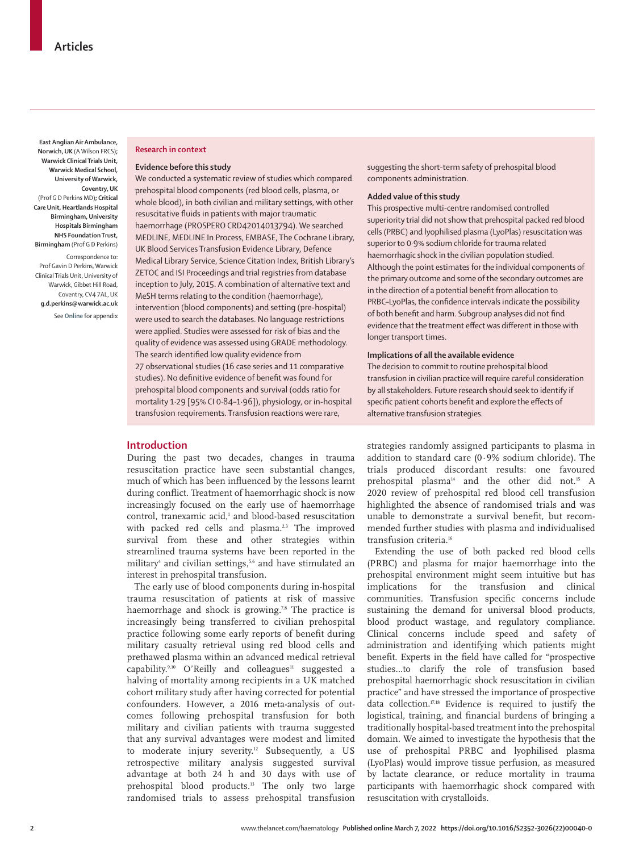**East Anglian Air Ambulance, Norwich, UK** (A Wilson FRCS)**; Warwick Clinical Trials Unit, Warwick Medical School, University of Warwick, Coventry, UK**  (Prof G D Perkins MD)**; Critical Care Unit, Heartlands Hospital Birmingham, University Hospitals Birmingham NHS Foundation Trust, Birmingham** (Prof G D Perkins)

Correspondence to: Prof Gavin D Perkins, Warwick Clinical Trials Unit, University of Warwick, Gibbet Hill Road, Coventry, CV4 7AL, UK **g.d.perkins@warwick.ac.uk**

See **Online** for appendix

#### **Research in context**

#### **Evidence before this study**

We conducted a systematic review of studies which compared prehospital blood components (red blood cells, plasma, or whole blood), in both civilian and military settings, with other resuscitative fluids in patients with major traumatic haemorrhage (PROSPERO CRD42014013794). We searched MEDLINE, MEDLINE In Process, EMBASE, The Cochrane Library, UK Blood Services Transfusion Evidence Library, Defence Medical Library Service, Science Citation Index, British Library's ZETOC and ISI Proceedings and trial registries from database inception to July, 2015. A combination of alternative text and MeSH terms relating to the condition (haemorrhage), intervention (blood components) and setting (pre-hospital) were used to search the databases. No language restrictions were applied. Studies were assessed for risk of bias and the quality of evidence was assessed using GRADE methodology. The search identified low quality evidence from 27 observational studies (16 case series and 11 comparative studies). No definitive evidence of benefit was found for

prehospital blood components and survival (odds ratio for mortality 1·29 [95% CI 0·84–1·96]), physiology, or in-hospital transfusion requirements. Transfusion reactions were rare,

## **Introduction**

During the past two decades, changes in trauma resuscitation practice have seen substantial changes, much of which has been influenced by the lessons learnt during conflict. Treatment of haemorrhagic shock is now increasingly focused on the early use of haemorrhage control, tranexamic acid,<sup>1</sup> and blood-based resuscitation with packed red cells and plasma.<sup>2,3</sup> The improved survival from these and other strategies within streamlined trauma systems have been reported in the military<sup>4</sup> and civilian settings,<sup>5,6</sup> and have stimulated an interest in prehospital transfusion.

The early use of blood components during in-hospital trauma resuscitation of patients at risk of massive haemorrhage and shock is growing.<sup>78</sup> The practice is increasingly being transferred to civilian prehospital practice following some early reports of benefit during military casualty retrieval using red blood cells and prethawed plasma within an advanced medical retrieval capability. $9,10$  O'Reilly and colleagues<sup>11</sup> suggested a halving of mortality among recipients in a UK matched cohort military study after having corrected for potential confounders. However, a 2016 meta-analysis of outcomes following prehospital transfusion for both military and civilian patients with trauma suggested that any survival advantages were modest and limited to moderate injury severity.<sup>12</sup> Subsequently, a US retrospective military analysis suggested survival advantage at both 24 h and 30 days with use of prehospital blood products.13 The only two large randomised trials to assess prehospital transfusion

suggesting the short-term safety of prehospital blood components administration.

#### **Added value of this study**

This prospective multi-centre randomised controlled superiority trial did not show that prehospital packed red blood cells (PRBC) and lyophilised plasma (LyoPlas) resuscitation was superior to 0·9% sodium chloride for trauma related haemorrhagic shock in the civilian population studied. Although the point estimates for the individual components of the primary outcome and some of the secondary outcomes are in the direction of a potential benefit from allocation to PRBC–LyoPlas, the confidence intervals indicate the possibility of both benefit and harm. Subgroup analyses did not find evidence that the treatment effect was different in those with longer transport times.

#### **Implications of all the available evidence**

The decision to commit to routine prehospital blood transfusion in civilian practice will require careful consideration by all stakeholders. Future research should seek to identify if specific patient cohorts benefit and explore the effects of alternative transfusion strategies.

strategies randomly assigned participants to plasma in addition to standard care (0·9% sodium chloride). The trials produced discordant results: one favoured prehospital plasma<sup>14</sup> and the other did not.<sup>15</sup> A 2020 review of prehospital red blood cell transfusion highlighted the absence of randomised trials and was unable to demonstrate a survival benefit, but recommended further studies with plasma and individualised transfusion criteria.<sup>16</sup>

Extending the use of both packed red blood cells (PRBC) and plasma for major haemorrhage into the prehospital environment might seem intuitive but has implications for the transfusion and clinical communities. Transfusion specific concerns include sustaining the demand for universal blood products, blood product wastage, and regulatory compliance. Clinical concerns include speed and safety of administration and identifying which patients might benefit. Experts in the field have called for "prospective studies…to clarify the role of transfusion based prehospital haemorrhagic shock resuscitation in civilian practice" and have stressed the importance of prospective data collection.<sup>17,18</sup> Evidence is required to justify the logistical, training, and financial burdens of bringing a traditionally hospital-based treatment into the prehospital domain. We aimed to investigate the hypothesis that the use of prehospital PRBC and lyophilised plasma (LyoPlas) would improve tissue perfusion, as measured by lactate clearance, or reduce mortality in trauma participants with haemorrhagic shock compared with resuscitation with crystalloids.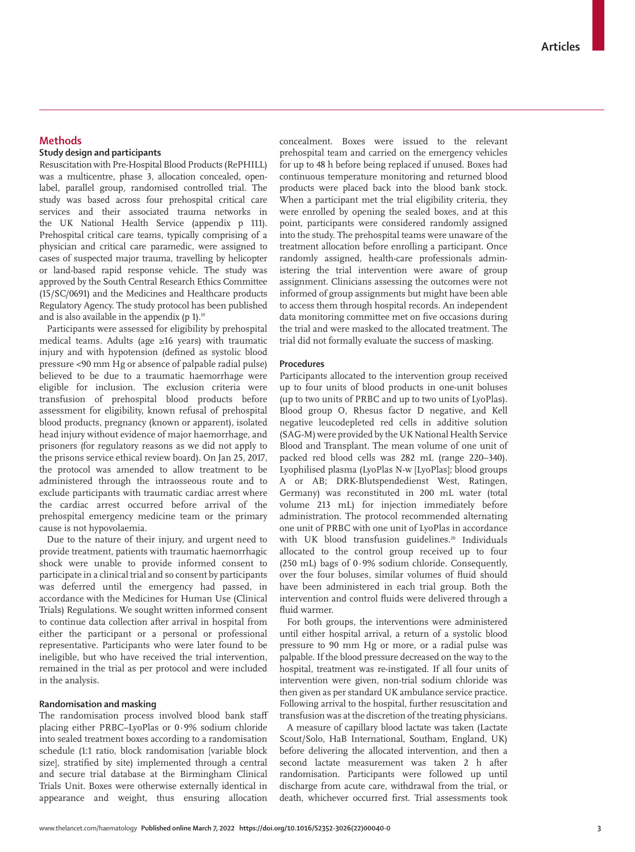# **Methods**

# **Study design and participants**

Resuscitation with Pre-Hospital Blood Products (RePHILL) was a multicentre, phase 3, allocation concealed, openlabel, parallel group, randomised controlled trial. The study was based across four prehospital critical care services and their associated trauma networks in the UK National Health Service (appendix p 111). Prehospital critical care teams, typically comprising of a physician and critical care paramedic, were assigned to cases of suspected major trauma, travelling by helicopter or land-based rapid response vehicle. The study was approved by the South Central Research Ethics Committee (15/SC/0691) and the Medicines and Healthcare products Regulatory Agency. The study protocol has been published and is also available in the appendix  $(p 1)$ .<sup>19</sup>

Participants were assessed for eligibility by prehospital medical teams. Adults (age ≥16 years) with traumatic injury and with hypotension (defined as systolic blood pressure <90 mm Hg or absence of palpable radial pulse) believed to be due to a traumatic haemorrhage were eligible for inclusion. The exclusion criteria were transfusion of prehospital blood products before assessment for eligibility, known refusal of prehospital blood products, pregnancy (known or apparent), isolated head injury without evidence of major haemorrhage, and prisoners (for regulatory reasons as we did not apply to the prisons service ethical review board). On Jan 25, 2017, the protocol was amended to allow treatment to be administered through the intraosseous route and to exclude participants with traumatic cardiac arrest where the cardiac arrest occurred before arrival of the prehospital emergency medicine team or the primary cause is not hypovolaemia.

Due to the nature of their injury, and urgent need to provide treatment, patients with traumatic haemorrhagic shock were unable to provide informed consent to participate in a clinical trial and so consent by participants was deferred until the emergency had passed, in accordance with the Medicines for Human Use (Clinical Trials) Regulations. We sought written informed consent to continue data collection after arrival in hospital from either the participant or a personal or professional representative. Participants who were later found to be ineligible, but who have received the trial intervention, remained in the trial as per protocol and were included in the analysis.

#### **Randomisation and masking**

The randomisation process involved blood bank staff placing either PRBC–LyoPlas or 0·9% sodium chloride into sealed treatment boxes according to a randomisation schedule (1:1 ratio, block randomisation [variable block size], stratified by site) implemented through a central and secure trial database at the Birmingham Clinical Trials Unit. Boxes were otherwise externally identical in appearance and weight, thus ensuring allocation concealment. Boxes were issued to the relevant prehospital team and carried on the emergency vehicles for up to 48 h before being replaced if unused. Boxes had continuous temperature monitoring and returned blood products were placed back into the blood bank stock. When a participant met the trial eligibility criteria, they were enrolled by opening the sealed boxes, and at this point, participants were considered randomly assigned into the study. The prehospital teams were unaware of the treatment allocation before enrolling a participant. Once randomly assigned, health-care professionals administering the trial intervention were aware of group assignment. Clinicians assessing the outcomes were not informed of group assignments but might have been able to access them through hospital records. An independent data monitoring committee met on five occasions during the trial and were masked to the allocated treatment. The trial did not formally evaluate the success of masking.

## **Procedures**

Participants allocated to the intervention group received up to four units of blood products in one-unit boluses (up to two units of PRBC and up to two units of LyoPlas). Blood group O, Rhesus factor D negative, and Kell negative leucodepleted red cells in additive solution (SAG-M) were provided by the UK National Health Service Blood and Transplant. The mean volume of one unit of packed red blood cells was 282 mL (range 220–340). Lyophilised plasma (LyoPlas N-w [LyoPlas]; blood groups A or AB; DRK-Blutspendedienst West, Ratingen, Germany) was reconstituted in 200 mL water (total volume 213 mL) for injection immediately before administration. The protocol recommended alternating one unit of PRBC with one unit of LyoPlas in accordance with UK blood transfusion guidelines.<sup>20</sup> Individuals allocated to the control group received up to four (250 mL) bags of 0·9% sodium chloride. Consequently, over the four boluses, similar volumes of fluid should have been administered in each trial group. Both the intervention and control fluids were delivered through a fluid warmer.

For both groups, the interventions were administered until either hospital arrival, a return of a systolic blood pressure to 90 mm Hg or more, or a radial pulse was palpable. If the blood pressure decreased on the way to the hospital, treatment was re-instigated. If all four units of intervention were given, non-trial sodium chloride was then given as per standard UK ambulance service practice. Following arrival to the hospital, further resuscitation and transfusion was at the discretion of the treating physicians.

A measure of capillary blood lactate was taken (Lactate Scout/Solo, HaB International, Southam, England, UK) before delivering the allocated intervention, and then a second lactate measurement was taken 2 h after randomisation. Participants were followed up until discharge from acute care, withdrawal from the trial, or death, whichever occurred first. Trial assessments took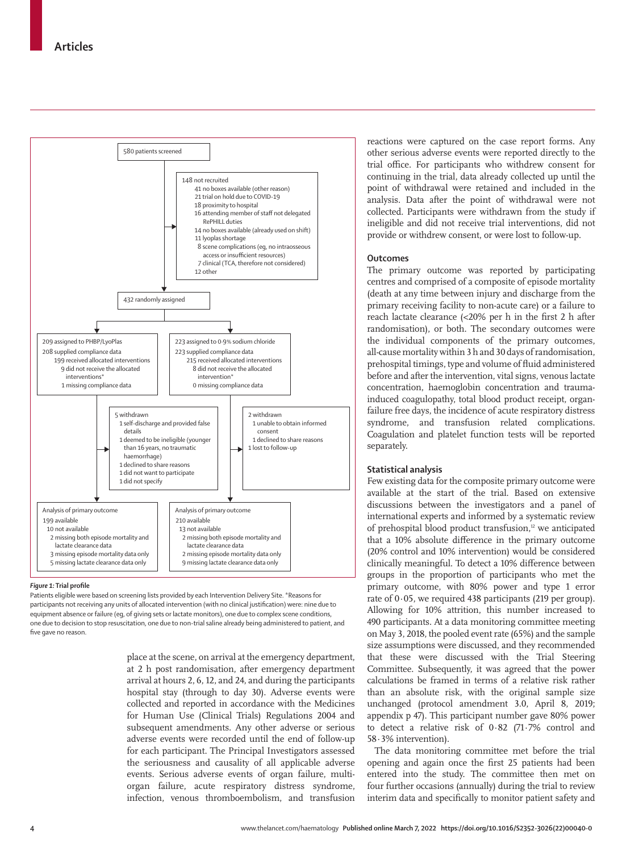

#### *Figure 1:* **Trial profile**

Patients eligible were based on screening lists provided by each Intervention Delivery Site. \*Reasons for participants not receiving any units of allocated intervention (with no clinical justification) were: nine due to equipment absence or failure (eg, of giving sets or lactate monitors), one due to complex scene conditions, one due to decision to stop resuscitation, one due to non-trial saline already being administered to patient, and five gave no reason.

> place at the scene, on arrival at the emergency department, at 2 h post randomisation, after emergency department arrival at hours 2, 6, 12, and 24, and during the participants hospital stay (through to day 30). Adverse events were collected and reported in accordance with the Medicines for Human Use (Clinical Trials) Regulations 2004 and subsequent amendments. Any other adverse or serious adverse events were recorded until the end of follow-up for each participant. The Principal Investigators assessed the seriousness and causality of all applicable adverse events. Serious adverse events of organ failure, multiorgan failure, acute respiratory distress syndrome, infection, venous thromboembolism, and transfusion

reactions were captured on the case report forms. Any other serious adverse events were reported directly to the trial office. For participants who withdrew consent for continuing in the trial, data already collected up until the point of withdrawal were retained and included in the analysis. Data after the point of withdrawal were not collected. Participants were withdrawn from the study if ineligible and did not receive trial interventions, did not provide or withdrew consent, or were lost to follow-up.

#### **Outcomes**

The primary outcome was reported by participating centres and comprised of a composite of episode mortality (death at any time between injury and discharge from the primary receiving facility to non-acute care) or a failure to reach lactate clearance (<20% per h in the first 2 h after randomisation), or both. The secondary outcomes were the individual components of the primary outcomes, all-cause mortality within 3 h and 30 days of randomisation, prehospital timings, type and volume of fluid administered before and after the intervention, vital signs, venous lactate concentration, haemoglobin concentration and traumainduced coagulopathy, total blood product receipt, organfailure free days, the incidence of acute respiratory distress syndrome, and transfusion related complications. Coagulation and platelet function tests will be reported separately.

# **Statistical analysis**

Few existing data for the composite primary outcome were available at the start of the trial. Based on extensive discussions between the investigators and a panel of international experts and informed by a systematic review of prehospital blood product transfusion,<sup>12</sup> we anticipated that a 10% absolute difference in the primary outcome (20% control and 10% intervention) would be considered clinically meaningful. To detect a 10% difference between groups in the proportion of participants who met the primary outcome, with 80% power and type 1 error rate of 0·05, we required 438 participants (219 per group). Allowing for 10% attrition, this number increased to 490 participants. At a data monitoring committee meeting on May 3, 2018, the pooled event rate (65%) and the sample size assumptions were discussed, and they recommended that these were discussed with the Trial Steering Committee. Subsequently, it was agreed that the power calculations be framed in terms of a relative risk rather than an absolute risk, with the original sample size unchanged (protocol amendment 3.0, April 8, 2019; appendix p 47). This participant number gave 80% power to detect a relative risk of 0·82 (71·7% control and 58·3% intervention).

The data monitoring committee met before the trial opening and again once the first 25 patients had been entered into the study. The committee then met on four further occasions (annually) during the trial to review interim data and specifically to monitor patient safety and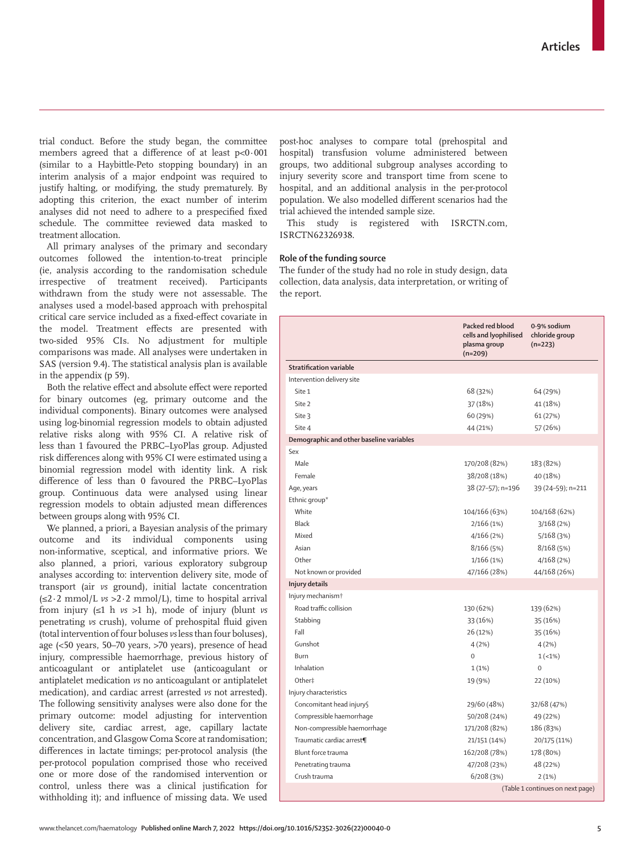trial conduct. Before the study began, the committee members agreed that a difference of at least p<0·001 (similar to a Haybittle-Peto stopping boundary) in an interim analysis of a major endpoint was required to justify halting, or modifying, the study prematurely. By adopting this criterion, the exact number of interim analyses did not need to adhere to a prespecified fixed schedule. The committee reviewed data masked to treatment allocation.

All primary analyses of the primary and secondary outcomes followed the intention-to-treat principle (ie, analysis according to the randomisation schedule irrespective of treatment received). Participants withdrawn from the study were not assessable. The analyses used a model-based approach with prehospital critical care service included as a fixed-effect covariate in the model. Treatment effects are presented with two-sided 95% CIs. No adjustment for multiple comparisons was made. All analyses were undertaken in SAS (version 9.4). The statistical analysis plan is available in the appendix (p 59).

Both the relative effect and absolute effect were reported for binary outcomes (eg, primary outcome and the individual components). Binary outcomes were analysed using log-binomial regression models to obtain adjusted relative risks along with 95% CI. A relative risk of less than 1 favoured the PRBC–LyoPlas group. Adjusted risk differences along with 95% CI were estimated using a binomial regression model with identity link. A risk difference of less than 0 favoured the PRBC–LyoPlas group. Continuous data were analysed using linear regression models to obtain adjusted mean differences between groups along with 95% CI.

We planned, a priori*,* a Bayesian analysis of the primary outcome and its individual components using non-informative, sceptical, and informative priors. We also planned, a priori, various exploratory subgroup analyses according to: intervention delivery site, mode of transport (air *vs* ground), initial lactate concentration (≤2·2 mmol/L *vs* >2·2 mmol/L), time to hospital arrival from injury (≤1 h *vs* >1 h), mode of injury (blunt *vs* penetrating *vs* crush), volume of prehospital fluid given (total intervention of four boluses *vs* less than four boluses), age (<50 years, 50–70 years, >70 years), presence of head injury, compressible haemorrhage, previous history of anticoagulant or antiplatelet use (anticoagulant or antiplatelet medication *vs* no anticoagulant or antiplatelet medication), and cardiac arrest (arrested *vs* not arrested). The following sensitivity analyses were also done for the primary outcome: model adjusting for intervention delivery site, cardiac arrest, age, capillary lactate concentration, and Glasgow Coma Score at randomisation; differences in lactate timings; per-protocol analysis (the per-protocol population comprised those who received one or more dose of the randomised intervention or control, unless there was a clinical justification for withholding it); and influence of missing data. We used

post-hoc analyses to compare total (prehospital and hospital) transfusion volume administered between groups, two additional subgroup analyses according to injury severity score and transport time from scene to hospital, and an additional analysis in the per-protocol population. We also modelled different scenarios had the trial achieved the intended sample size.

This study is registered with ISRCTN.com, ISRCTN62326938.

#### **Role of the funding source**

The funder of the study had no role in study design, data collection, data analysis, data interpretation, or writing of the report.

|                                          | Packed red blood<br>cells and lyophilised<br>plasma group<br>$(n=209)$ | 0.9% sodium<br>chloride group<br>$(n=223)$ |
|------------------------------------------|------------------------------------------------------------------------|--------------------------------------------|
| <b>Stratification variable</b>           |                                                                        |                                            |
| Intervention delivery site               |                                                                        |                                            |
| Site 1                                   | 68 (32%)                                                               | 64 (29%)                                   |
| Site 2                                   | 37 (18%)                                                               | 41 (18%)                                   |
| Site 3                                   | 60 (29%)                                                               | 61 (27%)                                   |
| Site 4                                   | 44 (21%)                                                               | 57 (26%)                                   |
| Demographic and other baseline variables |                                                                        |                                            |
| Sex                                      |                                                                        |                                            |
| Male                                     | 170/208 (82%)                                                          | 183 (82%)                                  |
| Female                                   | 38/208 (18%)                                                           | 40 (18%)                                   |
| Age, years                               | 38 (27-57); n=196                                                      | 39 (24-59); n=211                          |
| Ethnic group*                            |                                                                        |                                            |
| White                                    | 104/166 (63%)                                                          | 104/168 (62%)                              |
| Black                                    | 2/166(1%)                                                              | 3/168(2%)                                  |
| Mixed                                    | 4/166 (2%)                                                             | 5/168 (3%)                                 |
| Asian                                    | 8/166(5%)                                                              | 8/168(5%)                                  |
| Other                                    | 1/166(1%)                                                              | 4/168(2%)                                  |
| Not known or provided                    | 47/166 (28%)                                                           | 44/168 (26%)                               |
| Injury details                           |                                                                        |                                            |
| Injury mechanism <sup>+</sup>            |                                                                        |                                            |
| Road traffic collision                   | 130 (62%)                                                              | 139 (62%)                                  |
| Stabbing                                 | 33 (16%)                                                               | 35 (16%)                                   |
| Fall                                     | 26 (12%)                                                               | 35 (16%)                                   |
| Gunshot                                  | 4(2%)                                                                  | 4(2%)                                      |
| Burn                                     | 0                                                                      | $1(-1%)$                                   |
| Inhalation                               | 1(1%)                                                                  | $\mathbf 0$                                |
| Other‡                                   | 19 (9%)                                                                | 22 (10%)                                   |
| Injury characteristics                   |                                                                        |                                            |
| Concomitant head injury§                 | 29/60 (48%)                                                            | 32/68 (47%)                                |
| Compressible haemorrhage                 | 50/208 (24%)                                                           | 49 (22%)                                   |
| Non-compressible haemorrhage             | 171/208 (82%)                                                          | 186 (83%)                                  |
| Traumatic cardiac arrest¶                | 21/151 (14%)                                                           | 20/175 (11%)                               |
| Blunt force trauma                       | 162/208 (78%)                                                          | 178 (80%)                                  |
| Penetrating trauma                       | 47/208 (23%)                                                           | 48 (22%)                                   |
| Crush trauma                             | 6/208(3%)                                                              | 2(1%)                                      |
|                                          |                                                                        | (Table 1 continues on next page)           |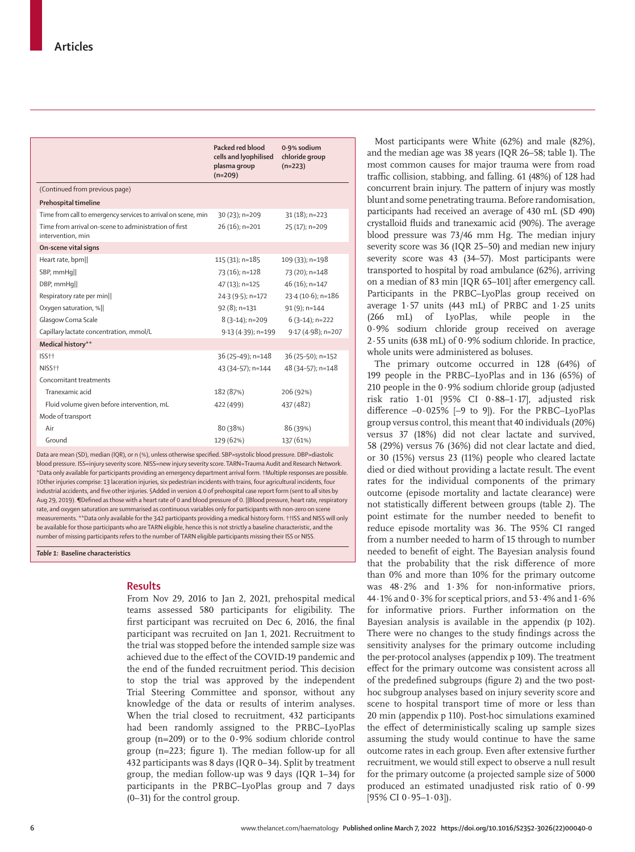|                                                                            | Packed red blood<br>cells and lyophilised<br>plasma group<br>$(n=209)$ | 0.9% sodium<br>chloride group<br>$(n=223)$ |
|----------------------------------------------------------------------------|------------------------------------------------------------------------|--------------------------------------------|
| (Continued from previous page)                                             |                                                                        |                                            |
| Prehospital timeline                                                       |                                                                        |                                            |
| Time from call to emergency services to arrival on scene, min              | 30 (23); n=209                                                         | $31(18)$ ; n=223                           |
| Time from arrival on-scene to administration of first<br>intervention, min | $26(16)$ ; n=201                                                       | 25 (17); n=209                             |
| On-scene vital signs                                                       |                                                                        |                                            |
| Heart rate, bpm                                                            | 115 (31); n=185                                                        | 109 (33); n=198                            |
| SBP, mmHq                                                                  | 73 (16); n=128                                                         | 73 (20); n=148                             |
| DBP, mmHq                                                                  | 47 (13); n=125                                                         | 46 (16); n=147                             |
| Respiratory rate per min                                                   | 24.3 (9.5); n=172                                                      | 23.4 (10.6); n=186                         |
| Oxygen saturation, %                                                       | 92 (8); n=131                                                          | $91(9)$ ; n=144                            |
| Glasgow Coma Scale                                                         | $8(3-14)$ ; n=209                                                      | $6(3-14)$ ; n=222                          |
| Capillary lactate concentration, mmol/L                                    | 9.13 (4.39); n=199                                                     | 9.17 (4.98); n=207                         |
| Medical history**                                                          |                                                                        |                                            |
| ISS <sub>††</sub>                                                          | 36 (25-49); n=148                                                      | 36 (25-50); n=152                          |
| NISS <sub>††</sub>                                                         | 43 (34-57); n=144                                                      | 48 (34-57); n=148                          |
| Concomitant treatments                                                     |                                                                        |                                            |
| Tranexamic acid                                                            | 182 (87%)                                                              | 206 (92%)                                  |
| Fluid volume given before intervention, mL                                 | 422 (499)                                                              | 437 (482)                                  |
| Mode of transport                                                          |                                                                        |                                            |
| Air                                                                        | 80 (38%)                                                               | 86 (39%)                                   |
| Ground                                                                     | 129 (62%)                                                              | 137 (61%)                                  |

Data are mean (SD), median (IOR), or n (%), unless otherwise specified. SBP=systolic blood pressure. DBP=diasto blood pressure. ISS=injury severity score. NISS=new injury severity score. TARN=Trauma Audit and Research Network. \*Data only available for participants providing an emergency department arrival form. †Multiple responses are possible. ‡Other injuries comprise: 13 laceration injuries, six pedestrian incidents with trains, four agricultural incidents, four industrial accidents, and five other injuries. §Added in version 4.0 of prehospital case report form (sent to all sites by Aug 29, 2019). ¶Defined as those with a heart rate of 0 and blood pressure of 0. ||Blood pressure, heart rate, respiratory rate, and oxygen saturation are summarised as continuous variables only for participants with non-zero on scene measurements. \*\*Data only available for the 342 participants providing a medical history form. ††ISS and NISS will only be available for those participants who are TARN eligible, hence this is not strictly a baseline characteristic, and the number of missing participants refers to the number of TARN eligible participants missing their ISS or NISS.

*Table 1:* **Baseline characteristics**

## **Results**

From Nov 29, 2016 to Jan 2, 2021, prehospital medical teams assessed 580 participants for eligibility. The first participant was recruited on Dec 6, 2016, the final participant was recruited on Jan 1, 2021. Recruitment to the trial was stopped before the intended sample size was achieved due to the effect of the COVID-19 pandemic and the end of the funded recruitment period. This decision to stop the trial was approved by the independent Trial Steering Committee and sponsor, without any knowledge of the data or results of interim analyses. When the trial closed to recruitment, 432 participants had been randomly assigned to the PRBC–LyoPlas group (n=209) or to the 0**·**9% sodium chloride control group (n=223; figure 1). The median follow-up for all 432 participants was 8 days (IQR 0–34). Split by treatment group, the median follow-up was 9 days (IQR 1–34) for participants in the PRBC–LyoPlas group and 7 days (0–31) for the control group.

Most participants were White (62%) and male (82%), and the median age was 38 years (IQR 26–58; table 1). The most common causes for major trauma were from road traffic collision, stabbing, and falling. 61 (48%) of 128 had concurrent brain injury. The pattern of injury was mostly blunt and some penetrating trauma. Before randomisation, participants had received an average of 430 mL (SD 490) crystalloid fluids and tranexamic acid (90%). The average blood pressure was 73/46 mm Hg. The median injury severity score was 36 (IQR 25–50) and median new injury severity score was 43 (34–57). Most participants were transported to hospital by road ambulance (62%), arriving on a median of 83 min [IQR 65–101] after emergency call. Participants in the PRBC–LyoPlas group received on average 1·57 units (443 mL) of PRBC and 1·25 units (266 mL) of LyoPlas, while people in the 0·9% sodium chloride group received on average 2·55 units (638 mL) of 0·9% sodium chloride. In practice, whole units were administered as boluses.

The primary outcome occurred in 128 (64%) of 199 people in the PRBC–LyoPlas and in 136 (65%) of 210 people in the 0·9% sodium chloride group (adjusted risk ratio 1·01 [95% CI 0·88–1·17], adjusted risk difference  $-0.025\%$  [-9 to 9]). For the PRBC–LyoPlas group versus control, this meant that 40 individuals (20%) versus 37 (18%) did not clear lactate and survived, 58 (29%) versus 76 (36%) did not clear lactate and died, or 30 (15%) versus 23 (11%) people who cleared lactate died or died without providing a lactate result. The event rates for the individual components of the primary outcome (episode mortality and lactate clearance) were not statistically different between groups (table 2). The point estimate for the number needed to benefit to reduce episode mortality was 36. The 95% CI ranged from a number needed to harm of 15 through to number needed to benefit of eight. The Bayesian analysis found that the probability that the risk difference of more than 0% and more than 10% for the primary outcome was 48·2% and 1·3% for non-informative priors, 44·1% and 0·3% for sceptical priors, and 53·4% and 1·6% for informative priors. Further information on the Bayesian analysis is available in the appendix (p 102). There were no changes to the study findings across the sensitivity analyses for the primary outcome including the per-protocol analyses (appendix p 109). The treatment effect for the primary outcome was consistent across all of the predefined subgroups (figure 2) and the two posthoc subgroup analyses based on injury severity score and scene to hospital transport time of more or less than 20 min (appendix p 110). Post-hoc simulations examined the effect of deterministically scaling up sample sizes assuming the study would continue to have the same outcome rates in each group. Even after extensive further recruitment, we would still expect to observe a null result for the primary outcome (a projected sample size of 5000 produced an estimated unadjusted risk ratio of 0·99 [95% CI  $0.95-1.03$ ]).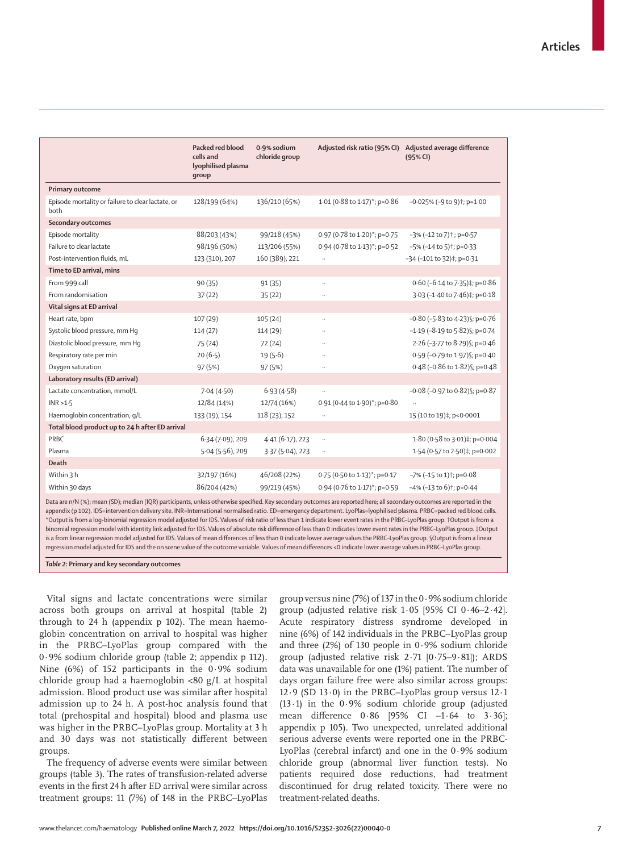|                                                                                                                                                                          | Packed red blood<br>cells and<br>lyophilised plasma<br>qroup | 0.9% sodium<br>chloride group |                                   | Adjusted risk ratio (95% CI) Adjusted average difference<br>(95% CI) |
|--------------------------------------------------------------------------------------------------------------------------------------------------------------------------|--------------------------------------------------------------|-------------------------------|-----------------------------------|----------------------------------------------------------------------|
| Primary outcome                                                                                                                                                          |                                                              |                               |                                   |                                                                      |
| Episode mortality or failure to clear lactate, or<br>both                                                                                                                | 128/199 (64%)                                                | 136/210 (65%)                 | 1.01 (0.88 to 1.17)*; p=0.86      | $-0.025\%$ (-9 to 9) <sup>†</sup> ; p=1.00                           |
| Secondary outcomes                                                                                                                                                       |                                                              |                               |                                   |                                                                      |
| Episode mortality                                                                                                                                                        | 88/203 (43%)                                                 | 99/218 (45%)                  | 0.97 (0.78 to 1.20)*; p=0.75      | $-3\%$ (-12 to 7) <sup>†</sup> ; p=0 $-57$                           |
| Failure to clear lactate                                                                                                                                                 | 98/196 (50%)                                                 | 113/206 (55%)                 | 0.94 (0.78 to 1.13)*; p=0.52      | -5% (-14 to 5)†; p=0-33                                              |
| Post-intervention fluids, mL                                                                                                                                             | 123 (310), 207                                               | 160 (389), 221                |                                   | $-34$ (-101 to 32)‡; p=0 $-31$                                       |
| Time to ED arrival, mins                                                                                                                                                 |                                                              |                               |                                   |                                                                      |
| From 999 call                                                                                                                                                            | 90 (35)                                                      | 91(35)                        | $\ldots$                          | 0.60 (-6.14 to 7.35)‡; p=0.86                                        |
| From randomisation                                                                                                                                                       | 37(22)                                                       | 35(22)                        | $\ddotsc$                         | 3.03 (-1.40 to 7.46)‡; p=0.18                                        |
| Vital signs at ED arrival                                                                                                                                                |                                                              |                               |                                   |                                                                      |
| Heart rate, bpm                                                                                                                                                          | 107 (29)                                                     | 105(24)                       | $\ddotsc$                         | $-0.80$ (-5.83 to 4.23) §; p=0.76                                    |
| Systolic blood pressure, mm Hq                                                                                                                                           | 114(27)                                                      | 114(29)                       | $\ddot{\phantom{a}}$              | $-1.19$ ( $-8.19$ to $5.82$ ) ; p=0.74                               |
| Diastolic blood pressure, mm Hq                                                                                                                                          | 75(24)                                                       | 72(24)                        |                                   | 2.26 (-3.77 to 8.29) §; p=0.46                                       |
| Respiratory rate per min                                                                                                                                                 | 20(6.5)                                                      | 19(5.6)                       |                                   | 0.59 (-0.79 to 1.97) \$; p=0.40                                      |
| Oxygen saturation                                                                                                                                                        | 97 (5%)                                                      | 97 (5%)                       |                                   | 0.48 (-0.86 to 1.82) §; p=0.48                                       |
| Laboratory results (ED arrival)                                                                                                                                          |                                                              |                               |                                   |                                                                      |
| Lactate concentration, mmol/L                                                                                                                                            | 7.04(4.50)                                                   | 6.93(4.58)                    | $\ddotsc$                         | $-0.08$ (-0.97 to 0.82) §; p=0.87                                    |
| INR > 1.5                                                                                                                                                                | 12/84 (14%)                                                  | 12/74 (16%)                   | 0.91 (0.44 to 1.90)*; p=0.80      |                                                                      |
| Haemoglobin concentration, q/L                                                                                                                                           | 133 (19), 154                                                | 118 (23), 152                 |                                   | 15 (10 to 19)#; p<0.0001                                             |
| Total blood product up to 24 h after ED arrival                                                                                                                          |                                                              |                               |                                   |                                                                      |
| PRBC                                                                                                                                                                     | 6.34 (7.09), 209                                             | 4.41(6.17), 223               | $\ddotsc$                         | 1.80 (0.58 to 3.01)#; p=0.004                                        |
| Plasma                                                                                                                                                                   | $5.04(5.56)$ , 209                                           | $3.37(5.04)$ , 223            | $\ddotsc$                         | 1.54 (0.57 to 2.50)‡; p=0.002                                        |
| Death                                                                                                                                                                    |                                                              |                               |                                   |                                                                      |
| Within 3 h                                                                                                                                                               | 32/197 (16%)                                                 | 46/208 (22%)                  | $0.75$ (0.50 to $1.13$ )*; p=0.17 | $-7\%$ (-15 to 1)†; p=0 $\cdot$ 08                                   |
| Within 30 days                                                                                                                                                           | 86/204 (42%)                                                 | 99/219 (45%)                  | $0.94$ (0.76 to 1.17)*; p=0.59    | $-4\%$ (-13 to 6) <sup>†</sup> ; p=0 $-44$                           |
| Data are n/N (%); mean (SD); median (IOR) participants, unless otherwise specified. Key secondary outcomes are reported here; all secondary outcomes are reported in the |                                                              |                               |                                   |                                                                      |

Data are n/N (%); mean (SD); median (IQR) participants, unless otherwise specified. Key secondary outcomes are reported here; all secondary outcomes are reported in the appendix (p 102). IDS=intervention delivery site. INR=International normalised ratio. ED=emergency department. LyoPlas=lyophilised plasma. PRBC=packed red blood cells. \*Output is from a log-binomial regression model adjusted for IDS. Values of risk ratio of less than 1 indicate lower event rates in the PRBC–LyoPlas group. †Output is from a binomial regression model with identity link adjusted for IDS. Values of absolute risk difference of less than 0 indicates lower event rates in the PRBC–LyoPlas group. ‡Output is a from linear regression model adjusted for IDS. Values of mean differences of less than 0 indicate lower average values the PRBC–LyoPlas group. §Output is from a linear regression model adjusted for IDS and the on scene value of the outcome variable. Values of mean differences <0 indicate lower average values in PRBC–LyoPlas group.

*Table 2:* **Primary and key secondary outcomes**

Vital signs and lactate concentrations were similar across both groups on arrival at hospital (table 2) through to 24 h (appendix p 102). The mean haemoglobin concentration on arrival to hospital was higher in the PRBC–LyoPlas group compared with the 0·9% sodium chloride group (table 2; appendix p 112). Nine (6%) of 152 participants in the 0·9% sodium chloride group had a haemoglobin <80 g/L at hospital admission. Blood product use was similar after hospital admission up to 24 h. A post-hoc analysis found that total (prehospital and hospital) blood and plasma use was higher in the PRBC–LyoPlas group. Mortality at 3 h and 30 days was not statistically different between groups.

The frequency of adverse events were similar between groups (table 3). The rates of transfusion-related adverse events in the first 24 h after ED arrival were similar across treatment groups: 11 (7%) of 148 in the PRBC–LyoPlas group versus nine (7%) of 137 in the  $0.9\%$  sodium chloride group (adjusted relative risk 1·05 [95% CI 0·46–2·42]. Acute respiratory distress syndrome developed in nine (6%) of 142 individuals in the PRBC–LyoPlas group and three (2%) of 130 people in 0·9% sodium chloride group (adjusted relative risk 2·71 [0·75–9·81]); ARDS data was unavailable for one (1%) patient. The number of days organ failure free were also similar across groups: 12·9 (SD 13·0) in the PRBC–LyoPlas group versus 12·1 (13·1) in the 0·9% sodium chloride group (adjusted mean difference 0·86 [95% CI –1·64 to 3·36]; appendix p 105). Two unexpected, unrelated additional serious adverse events were reported one in the PRBC-LyoPlas (cerebral infarct) and one in the 0·9% sodium chloride group (abnormal liver function tests). No patients required dose reductions, had treatment discontinued for drug related toxicity. There were no treatment-related deaths.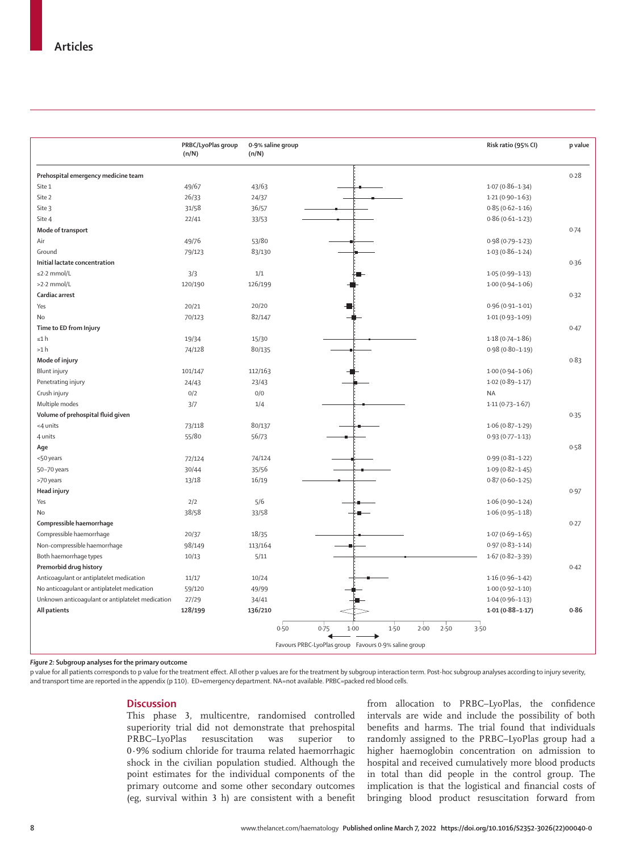|                                                                                                 | PRBC/LyoPlas group<br>(n/N) | 0.9% saline group<br>(n/N) |                                                                                                   | Risk ratio (95% CI) | p value |
|-------------------------------------------------------------------------------------------------|-----------------------------|----------------------------|---------------------------------------------------------------------------------------------------|---------------------|---------|
| Prehospital emergency medicine team                                                             |                             |                            |                                                                                                   |                     | 0.28    |
| Site 1                                                                                          | 49/67                       | 43/63                      |                                                                                                   | $1.07(0.86 - 1.34)$ |         |
| Site 2                                                                                          | 26/33                       | 24/37                      |                                                                                                   | $1.21(0.90 - 1.63)$ |         |
| Site 3                                                                                          | 31/58                       | 36/57                      |                                                                                                   | $0.85(0.62 - 1.16)$ |         |
| Site 4                                                                                          | 22/41                       | 33/53                      |                                                                                                   | $0.86(0.61 - 1.23)$ |         |
| Mode of transport                                                                               |                             |                            |                                                                                                   |                     | 0.74    |
| Air                                                                                             | 49/76                       | 53/80                      |                                                                                                   | $0.98(0.79 - 1.23)$ |         |
| Ground                                                                                          | 79/123                      | 83/130                     |                                                                                                   | $1.03(0.86 - 1.24)$ |         |
| Initial lactate concentration                                                                   |                             |                            |                                                                                                   |                     | 0.36    |
| ≤2.2 mmol/L                                                                                     | 3/3                         | 1/1                        |                                                                                                   | $1.05(0.99 - 1.13)$ |         |
| >2.2 mmol/L                                                                                     | 120/190                     | 126/199                    |                                                                                                   | $1.00(0.94 - 1.06)$ |         |
| Cardiac arrest                                                                                  |                             |                            |                                                                                                   |                     | 0.32    |
| Yes                                                                                             | 20/21                       | 20/20                      |                                                                                                   | $0.96(0.91 - 1.01)$ |         |
| No                                                                                              | 70/123                      | 82/147                     |                                                                                                   | $1.01(0.93 - 1.09)$ |         |
| Time to ED from Injury                                                                          |                             |                            |                                                                                                   |                     | 0.47    |
| ≤1 h                                                                                            | 19/34                       | 15/30                      |                                                                                                   | $1.18(0.74 - 1.86)$ |         |
| >1 h                                                                                            | 74/128                      | 80/135                     |                                                                                                   | $0.98(0.80 - 1.19)$ |         |
| Mode of injury                                                                                  |                             |                            |                                                                                                   |                     | 0.83    |
| Blunt injury                                                                                    | 101/147                     | 112/163                    |                                                                                                   | $1.00(0.94 - 1.06)$ |         |
| Penetrating injury                                                                              | 24/43                       | 23/43                      |                                                                                                   | $1.02(0.89 - 1.17)$ |         |
| Crush injury                                                                                    | 0/2                         | 0/0                        |                                                                                                   | <b>NA</b>           |         |
| Multiple modes                                                                                  | 3/7                         | 1/4                        |                                                                                                   | $1.11(0.73 - 1.67)$ |         |
| Volume of prehospital fluid given                                                               |                             |                            |                                                                                                   |                     | 0.35    |
| <4 units                                                                                        | 73/118                      | 80/137                     |                                                                                                   | $1.06(0.87 - 1.29)$ |         |
| 4 units                                                                                         | 55/80                       | 56/73                      |                                                                                                   | $0.93(0.77 - 1.13)$ |         |
| Age                                                                                             |                             |                            |                                                                                                   |                     | 0.58    |
| <50 years                                                                                       | 72/124                      | 74/124                     |                                                                                                   | $0.99(0.81 - 1.22)$ |         |
| 50-70 years                                                                                     | 30/44                       | 35/56                      |                                                                                                   | $1.09(0.82 - 1.45)$ |         |
| >70 years                                                                                       | 13/18                       | 16/19                      |                                                                                                   | $0.87(0.60 - 1.25)$ |         |
| Head injury                                                                                     |                             |                            |                                                                                                   |                     | 0.97    |
| Yes                                                                                             | 2/2                         | 5/6                        |                                                                                                   | $1.06(0.90 - 1.24)$ |         |
| No                                                                                              | 38/58                       | 33/58                      |                                                                                                   | $1.06(0.95 - 1.18)$ |         |
| Compressible haemorrhage                                                                        |                             |                            |                                                                                                   |                     | 0.27    |
| Compressible haemorrhage                                                                        | 20/37                       | 18/35                      |                                                                                                   | $1.07(0.69 - 1.65)$ |         |
| Non-compressible haemorrhage                                                                    | 98/149                      | 113/164                    |                                                                                                   | $0.97(0.83 - 1.14)$ |         |
| Both haemorrhage types                                                                          | 10/13                       | 5/11                       |                                                                                                   | $1.67(0.82 - 3.39)$ |         |
| Premorbid drug history                                                                          |                             |                            |                                                                                                   |                     | 0.42    |
| Anticoagulant or antiplatelet medication                                                        | 11/17                       | 10/24                      |                                                                                                   | $1.16(0.96 - 1.42)$ |         |
|                                                                                                 | 59/120                      |                            |                                                                                                   | $1.00(0.92 - 1.10)$ |         |
| No anticoagulant or antiplatelet medication<br>Unknown anticoaqulant or antiplatelet medication | 27/29                       | 49/99                      |                                                                                                   | $1.04(0.96 - 1.13)$ |         |
|                                                                                                 |                             | 34/41                      |                                                                                                   |                     | 0.86    |
| All patients                                                                                    | 128/199                     | 136/210                    |                                                                                                   | $1.01(0.88 - 1.17)$ |         |
|                                                                                                 |                             | 0.50                       | 0.75<br>1.00<br>1.50<br>2.00<br>2.50<br>◀<br>Favours PRBC-LyoPlas group Favours 0.9% saline group | 3.50                |         |

*Figure 2:* **Subgroup analyses for the primary outcome**

p value for all patients corresponds to p value for the treatment effect. All other p values are for the treatment by subgroup interaction term. Post-hoc subgroup analyses according to injury severity, and transport time are reported in the appendix (p 110). ED=emergency department. NA=not available. PRBC=packed red blood cells.

### **Discussion**

This phase 3, multicentre, randomised controlled superiority trial did not demonstrate that prehospital PRBC–LyoPlas resuscitation was superior to 0·9% sodium chloride for trauma related haemorrhagic shock in the civilian population studied. Although the point estimates for the individual components of the primary outcome and some other secondary outcomes (eg, survival within 3 h) are consistent with a benefit from allocation to PRBC–LyoPlas, the confidence intervals are wide and include the possibility of both benefits and harms. The trial found that individuals randomly assigned to the PRBC–LyoPlas group had a higher haemoglobin concentration on admission to hospital and received cumulatively more blood products in total than did people in the control group. The implication is that the logistical and financial costs of bringing blood product resuscitation forward from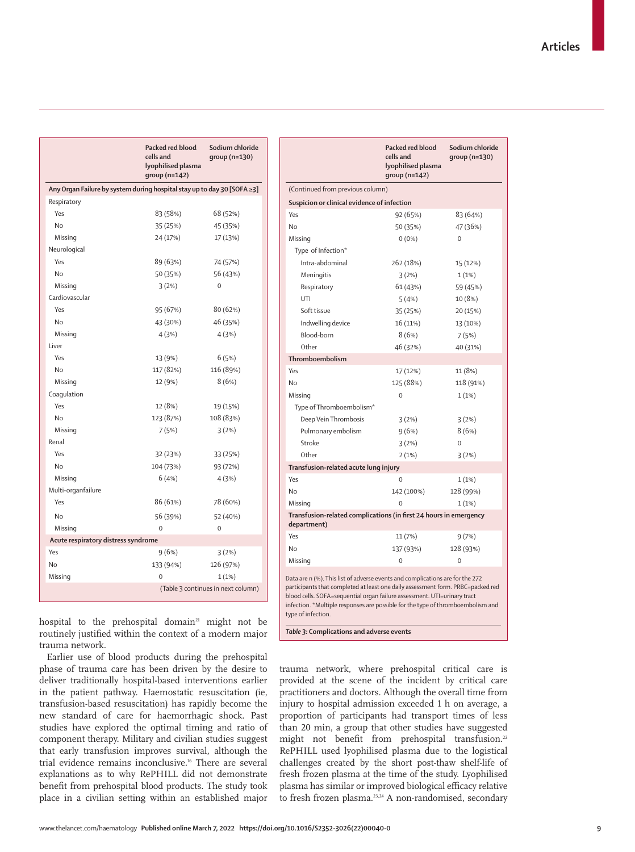|                                     | Packed red blood<br>cells and<br>lyophilised plasma<br>$qroup (n=142)$  | Sodium chloride<br>group (n=130)   |  |  |  |
|-------------------------------------|-------------------------------------------------------------------------|------------------------------------|--|--|--|
|                                     | Any Organ Failure by system during hospital stay up to day 30 [SOFA ≥3] |                                    |  |  |  |
| Respiratory                         |                                                                         |                                    |  |  |  |
| Yes                                 | 83 (58%)                                                                | 68 (52%)                           |  |  |  |
| No                                  | 35 (25%)                                                                | 45 (35%)                           |  |  |  |
| Missing                             | 24 (17%)                                                                | 17 (13%)                           |  |  |  |
| Neurological                        |                                                                         |                                    |  |  |  |
| Yes                                 | 89 (63%)                                                                | 74 (57%)                           |  |  |  |
| <b>No</b>                           | 50 (35%)                                                                | 56 (43%)                           |  |  |  |
| Missing                             | 3(2%)                                                                   | $\mathbf 0$                        |  |  |  |
| Cardiovascular                      |                                                                         |                                    |  |  |  |
| Yes                                 | 95 (67%)                                                                | 80 (62%)                           |  |  |  |
| <b>No</b>                           | 43 (30%)                                                                | 46 (35%)                           |  |  |  |
| Missing                             | 4(3%)                                                                   | 4(3%)                              |  |  |  |
| Liver                               |                                                                         |                                    |  |  |  |
| Yes                                 | 13 (9%)                                                                 | 6(5%)                              |  |  |  |
| <b>No</b>                           | 117 (82%)                                                               | 116 (89%)                          |  |  |  |
| Missing                             | 12 (9%)                                                                 | 8(6%)                              |  |  |  |
| Coagulation                         |                                                                         |                                    |  |  |  |
| Yes                                 | 12 (8%)                                                                 | 19 (15%)                           |  |  |  |
| No                                  | 123 (87%)                                                               | 108 (83%)                          |  |  |  |
| Missing                             | 7(5%)                                                                   | 3(2%)                              |  |  |  |
| Renal                               |                                                                         |                                    |  |  |  |
| Yes                                 | 32 (23%)                                                                | 33 (25%)                           |  |  |  |
| No                                  | 104 (73%)                                                               | 93 (72%)                           |  |  |  |
| Missing                             | 6(4%)                                                                   | 4(3%)                              |  |  |  |
| Multi-organfailure                  |                                                                         |                                    |  |  |  |
| Yes                                 | 86 (61%)                                                                | 78 (60%)                           |  |  |  |
| <b>No</b>                           | 56 (39%)                                                                | 52 (40%)                           |  |  |  |
| Missing                             | 0                                                                       | 0                                  |  |  |  |
| Acute respiratory distress syndrome |                                                                         |                                    |  |  |  |
| Yes                                 | 9(6%)                                                                   | 3(2%)                              |  |  |  |
| No                                  | 133 (94%)                                                               | 126 (97%)                          |  |  |  |
| Missing                             | $\Omega$                                                                | 1(1%)                              |  |  |  |
|                                     |                                                                         | (Table 3 continues in next column) |  |  |  |

|                                                                                                                                                                                                                                                                                                                                                       | Packed red blood<br>cells and<br>lyophilised plasma<br>$qroup (n=142)$ | Sodium chloride<br>$qroup (n=130)$ |  |  |
|-------------------------------------------------------------------------------------------------------------------------------------------------------------------------------------------------------------------------------------------------------------------------------------------------------------------------------------------------------|------------------------------------------------------------------------|------------------------------------|--|--|
| (Continued from previous column)                                                                                                                                                                                                                                                                                                                      |                                                                        |                                    |  |  |
| Suspicion or clinical evidence of infection                                                                                                                                                                                                                                                                                                           |                                                                        |                                    |  |  |
| Yes                                                                                                                                                                                                                                                                                                                                                   | 92 (65%)                                                               | 83 (64%)                           |  |  |
| N <sub>o</sub>                                                                                                                                                                                                                                                                                                                                        | 50 (35%)                                                               | 47 (36%)                           |  |  |
| Missing                                                                                                                                                                                                                                                                                                                                               | $0(0\%)$                                                               | $\Omega$                           |  |  |
| Type of Infection*                                                                                                                                                                                                                                                                                                                                    |                                                                        |                                    |  |  |
| Intra-abdominal                                                                                                                                                                                                                                                                                                                                       | 262 (18%)                                                              | 15 (12%)                           |  |  |
| Meningitis                                                                                                                                                                                                                                                                                                                                            | 3(2%)                                                                  | 1(1%)                              |  |  |
| Respiratory                                                                                                                                                                                                                                                                                                                                           | 61 (43%)                                                               | 59 (45%)                           |  |  |
| UTI                                                                                                                                                                                                                                                                                                                                                   | 5(4%)                                                                  | 10 (8%)                            |  |  |
| Soft tissue                                                                                                                                                                                                                                                                                                                                           | 35 (25%)                                                               | 20 (15%)                           |  |  |
| Indwelling device                                                                                                                                                                                                                                                                                                                                     | 16 (11%)                                                               | 13 (10%)                           |  |  |
| Blood-born                                                                                                                                                                                                                                                                                                                                            | 8(6%)                                                                  | 7(5%)                              |  |  |
| Other                                                                                                                                                                                                                                                                                                                                                 | 46 (32%)                                                               | 40 (31%)                           |  |  |
| Thromboembolism                                                                                                                                                                                                                                                                                                                                       |                                                                        |                                    |  |  |
| Yes                                                                                                                                                                                                                                                                                                                                                   | 17 (12%)                                                               | 11 (8%)                            |  |  |
| No                                                                                                                                                                                                                                                                                                                                                    | 125 (88%)                                                              | 118 (91%)                          |  |  |
| Missing                                                                                                                                                                                                                                                                                                                                               | $\overline{0}$                                                         | 1(1%)                              |  |  |
| Type of Thromboembolism*                                                                                                                                                                                                                                                                                                                              |                                                                        |                                    |  |  |
| Deep Vein Thrombosis                                                                                                                                                                                                                                                                                                                                  | 3(2%)                                                                  | 3(2%)                              |  |  |
| Pulmonary embolism                                                                                                                                                                                                                                                                                                                                    | 9(6%)                                                                  | 8(6%)                              |  |  |
| Stroke                                                                                                                                                                                                                                                                                                                                                | 3(2%)                                                                  | $\mathbf 0$                        |  |  |
| Other                                                                                                                                                                                                                                                                                                                                                 | 2(1%)                                                                  | 3(2%)                              |  |  |
| Transfusion-related acute lung injury                                                                                                                                                                                                                                                                                                                 |                                                                        |                                    |  |  |
| Yes                                                                                                                                                                                                                                                                                                                                                   | $\overline{0}$                                                         | 1(1%)                              |  |  |
| No                                                                                                                                                                                                                                                                                                                                                    | 142 (100%)                                                             | 128 (99%)                          |  |  |
| Missing                                                                                                                                                                                                                                                                                                                                               | $\Omega$                                                               | 1(1%)                              |  |  |
| Transfusion-related complications (in first 24 hours in emergency<br>department)                                                                                                                                                                                                                                                                      |                                                                        |                                    |  |  |
| Yes                                                                                                                                                                                                                                                                                                                                                   | 11 (7%)                                                                | 9(7%)                              |  |  |
| No                                                                                                                                                                                                                                                                                                                                                    | 137 (93%)                                                              | 128 (93%)                          |  |  |
| Missing                                                                                                                                                                                                                                                                                                                                               | $\Omega$                                                               | $\Omega$                           |  |  |
| Data are n (%). This list of adverse events and complications are for the 272<br>participants that completed at least one daily assessment form. PRBC=packed red<br>blood cells. SOFA=sequential organ failure assessment. UTI=urinary tract<br>infection. *Multiple responses are possible for the type of thromboembolism and<br>type of infection. |                                                                        |                                    |  |  |

hospital to the prehospital domain<sup>21</sup> might not be routinely justified within the context of a modern major trauma network.

Earlier use of blood products during the prehospital phase of trauma care has been driven by the desire to deliver traditionally hospital-based interventions earlier in the patient pathway. Haemostatic resuscitation (ie, transfusion-based resuscitation) has rapidly become the new standard of care for haemorrhagic shock. Past studies have explored the optimal timing and ratio of component therapy. Military and civilian studies suggest that early transfusion improves survival, although the trial evidence remains inconclusive.16 There are several explanations as to why RePHILL did not demonstrate benefit from prehospital blood products. The study took place in a civilian setting within an established major *Table 3:* **Complications and adverse events**

trauma network, where prehospital critical care is provided at the scene of the incident by critical care practitioners and doctors. Although the overall time from injury to hospital admission exceeded 1 h on average, a proportion of participants had transport times of less than 20 min, a group that other studies have suggested might not benefit from prehospital transfusion.<sup>22</sup> RePHILL used lyophilised plasma due to the logistical challenges created by the short post-thaw shelf-life of fresh frozen plasma at the time of the study. Lyophilised plasma has similar or improved biological efficacy relative to fresh frozen plasma.<sup>23,24</sup> A non-randomised, secondary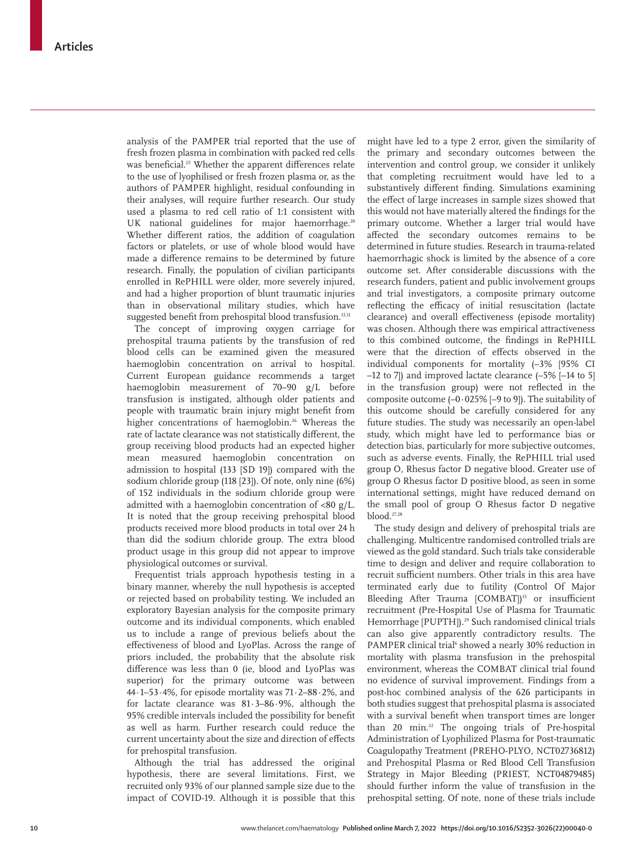analysis of the PAMPER trial reported that the use of fresh frozen plasma in combination with packed red cells was beneficial.<sup>25</sup> Whether the apparent differences relate to the use of lyophilised or fresh frozen plasma or, as the authors of PAMPER highlight, residual confounding in their analyses, will require further research. Our study used a plasma to red cell ratio of 1:1 consistent with UK national guidelines for major haemorrhage.<sup>20</sup> Whether different ratios, the addition of coagulation factors or platelets, or use of whole blood would have made a difference remains to be determined by future research. Finally, the population of civilian participants enrolled in RePHILL were older, more severely injured, and had a higher proportion of blunt traumatic injuries than in observational military studies, which have suggested benefit from prehospital blood transfusion.<sup>13,11</sup>

The concept of improving oxygen carriage for prehospital trauma patients by the transfusion of red blood cells can be examined given the measured haemoglobin concentration on arrival to hospital. Current European guidance recommends a target haemoglobin measurement of 70–90 g/L before transfusion is instigated, although older patients and people with traumatic brain injury might benefit from higher concentrations of haemoglobin.<sup>26</sup> Whereas the rate of lactate clearance was not statistically different, the group receiving blood products had an expected higher mean measured haemoglobin concentration on admission to hospital (133 [SD 19]) compared with the sodium chloride group (118 [23]). Of note, only nine (6%) of 152 individuals in the sodium chloride group were admitted with a haemoglobin concentration of <80 g/L. It is noted that the group receiving prehospital blood products received more blood products in total over 24 h than did the sodium chloride group. The extra blood product usage in this group did not appear to improve physiological outcomes or survival.

Frequentist trials approach hypothesis testing in a binary manner, whereby the null hypothesis is accepted or rejected based on probability testing. We included an exploratory Bayesian analysis for the composite primary outcome and its individual components, which enabled us to include a range of previous beliefs about the effectiveness of blood and LyoPlas. Across the range of priors included, the probability that the absolute risk difference was less than 0 (ie, blood and LyoPlas was superior) for the primary outcome was between 44·1–53·4%, for episode mortality was 71·2–88·2%, and for lactate clearance was 81·3–86·9%, although the 95% credible intervals included the possibility for benefit as well as harm. Further research could reduce the current uncertainty about the size and direction of effects for prehospital transfusion.

Although the trial has addressed the original hypothesis, there are several limitations. First, we recruited only 93% of our planned sample size due to the impact of COVID-19. Although it is possible that this might have led to a type 2 error, given the similarity of the primary and secondary outcomes between the intervention and control group, we consider it unlikely that completing recruitment would have led to a substantively different finding. Simulations examining the effect of large increases in sample sizes showed that this would not have materially altered the findings for the primary outcome. Whether a larger trial would have affected the secondary outcomes remains to be determined in future studies. Research in trauma-related haemorrhagic shock is limited by the absence of a core outcome set. After considerable discussions with the research funders, patient and public involvement groups and trial investigators, a composite primary outcome reflecting the efficacy of initial resuscitation (lactate clearance) and overall effectiveness (episode mortality) was chosen. Although there was empirical attractiveness to this combined outcome, the findings in RePHILL were that the direction of effects observed in the individual components for mortality (–3% [95% CI –12 to 7]) and improved lactate clearance (–5% [–14 to 5] in the transfusion group) were not reflected in the composite outcome  $(-0.025\%$   $[-9$  to 9]). The suitability of this outcome should be carefully considered for any future studies. The study was necessarily an open-label study, which might have led to performance bias or detection bias, particularly for more subjective outcomes, such as adverse events. Finally, the RePHILL trial used group O, Rhesus factor D negative blood. Greater use of group O Rhesus factor D positive blood, as seen in some international settings, might have reduced demand on the small pool of group O Rhesus factor D negative blood.27,28

The study design and delivery of prehospital trials are challenging. Multicentre randomised controlled trials are viewed as the gold standard. Such trials take considerable time to design and deliver and require collaboration to recruit sufficient numbers. Other trials in this area have terminated early due to futility (Control Of Major Bleeding After Trauma [COMBAT])<sup>15</sup> or insufficient recruitment (Pre-Hospital Use of Plasma for Traumatic Hemorrhage [PUPTH]).<sup>29</sup> Such randomised clinical trials can also give apparently contradictory results. The PAMPER clinical trial<sup>6</sup> showed a nearly 30% reduction in mortality with plasma transfusion in the prehospital environment, whereas the COMBAT clinical trial found no evidence of survival improvement. Findings from a post-hoc combined analysis of the 626 participants in both studies suggest that prehospital plasma is associated with a survival benefit when transport times are longer than 20 min.<sup>22</sup> The ongoing trials of Pre-hospital Administration of Lyophilized Plasma for Post-traumatic Coagulopathy Treatment (PREHO-PLYO, NCT02736812) and Prehospital Plasma or Red Blood Cell Transfusion Strategy in Major Bleeding (PRIEST, NCT04879485) should further inform the value of transfusion in the prehospital setting. Of note, none of these trials include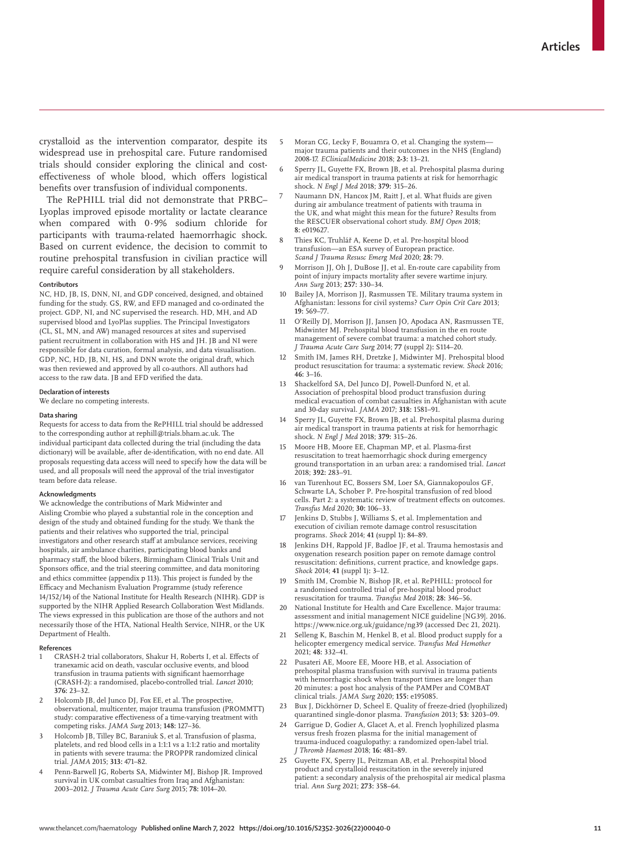crystalloid as the intervention comparator, despite its widespread use in prehospital care. Future randomised trials should consider exploring the clinical and costeffectiveness of whole blood, which offers logistical benefits over transfusion of individual components.

The RePHILL trial did not demonstrate that PRBC– Lyoplas improved episode mortality or lactate clearance when compared with 0·9% sodium chloride for participants with trauma-related haemorrhagic shock. Based on current evidence, the decision to commit to routine prehospital transfusion in civilian practice will require careful consideration by all stakeholders.

#### **Contributors**

NC, HD, JB, IS, DNN, NI, and GDP conceived, designed, and obtained funding for the study. GS, RW, and EFD managed and co-ordinated the project. GDP, NI, and NC supervised the research. HD, MH, and AD supervised blood and LyoPlas supplies. The Principal Investigators (CL, SL, MN, and AW) managed resources at sites and supervised patient recruitment in collaboration with HS and JH. JB and NI were responsible for data curation, formal analysis, and data visualisation. GDP, NC, HD, JB, NI, HS, and DNN wrote the original draft, which was then reviewed and approved by all co-authors. All authors had access to the raw data. JB and EFD verified the data.

#### **Declaration of interests**

We declare no competing interests.

#### **Data sharing**

Requests for access to data from the RePHILL trial should be addressed to the corresponding author at rephill@trials.bham.ac.uk. The individual participant data collected during the trial (including the data dictionary) will be available, after de-identification, with no end date. All proposals requesting data access will need to specify how the data will be used, and all proposals will need the approval of the trial investigator team before data release.

#### **Acknowledgments**

We acknowledge the contributions of Mark Midwinter and Aisling Crombie who played a substantial role in the conception and design of the study and obtained funding for the study. We thank the patients and their relatives who supported the trial, principal investigators and other research staff at ambulance services, receiving hospitals, air ambulance charities, participating blood banks and pharmacy staff, the blood bikers, Birmingham Clinical Trials Unit and Sponsors office, and the trial steering committee, and data monitoring and ethics committee (appendix p 113). This project is funded by the Efficacy and Mechanism Evaluation Programme (study reference 14/152/14) of the National Institute for Health Research (NIHR). GDP is supported by the NIHR Applied Research Collaboration West Midlands. The views expressed in this publication are those of the authors and not necessarily those of the HTA, National Health Service, NIHR, or the UK Department of Health.

#### **References**

- CRASH-2 trial collaborators, Shakur H, Roberts I, et al. Effects of tranexamic acid on death, vascular occlusive events, and blood transfusion in trauma patients with significant haemorrhage (CRASH-2): a randomised, placebo-controlled trial. *Lancet* 2010; **376:** 23–32.
- 2 Holcomb JB, del Junco DJ, Fox EE, et al. The prospective, observational, multicenter, major trauma transfusion (PROMMTT) study: comparative effectiveness of a time-varying treatment with competing risks. *JAMA Surg* 2013; **148:** 127–36.
- 3 Holcomb JB, Tilley BC, Baraniuk S, et al. Transfusion of plasma, platelets, and red blood cells in a 1:1:1 vs a 1:1:2 ratio and mortality in patients with severe trauma: the PROPPR randomized clinical trial. *JAMA* 2015; **313:** 471–82.
- 4 Penn-Barwell JG, Roberts SA, Midwinter MJ, Bishop JR. Improved survival in UK combat casualties from Iraq and Afghanistan: 2003–2012. *J Trauma Acute Care Surg* 2015; **78:** 1014–20.
- 5 Moran CG, Lecky F, Bouamra O, et al. Changing the system major trauma patients and their outcomes in the NHS (England) 2008-17. *EClinicalMedicine* 2018; **2-3:** 13–21.
- 6 Sperry JL, Guyette FX, Brown JB, et al. Prehospital plasma during air medical transport in trauma patients at risk for hemorrhagic shock. *N Engl J Med* 2018; **379:** 315–26.
- Naumann DN, Hancox JM, Raitt J, et al. What fluids are given during air ambulance treatment of patients with trauma in the UK, and what might this mean for the future? Results from the RESCUER observational cohort study. *BMJ Open* 2018; **8:** e019627.
- 8 Thies KC, Truhlář A, Keene D, et al. Pre-hospital blood transfusion—an ESA survey of European practice. *Scand J Trauma Resusc Emerg Med* 2020; **28:** 79.
- 9 Morrison JJ, Oh J, DuBose JJ, et al. En-route care capability from point of injury impacts mortality after severe wartime injury. *Ann Surg* 2013; **257:** 330–34.
- 10 Bailey JA, Morrison JJ, Rasmussen TE. Military trauma system in Afghanistan: lessons for civil systems? *Curr Opin Crit Care* 2013; **19:** 569–77.
- 11 O'Reilly DJ, Morrison JJ, Jansen JO, Apodaca AN, Rasmussen TE, Midwinter MJ. Prehospital blood transfusion in the en route management of severe combat trauma: a matched cohort study. *J Trauma Acute Care Surg* 2014; **77** (suppl 2)**:** S114–20.
- 12 Smith IM, James RH, Dretzke J, Midwinter MJ. Prehospital blood product resuscitation for trauma: a systematic review. *Shock* 2016; **46:** 3–16.
- 13 Shackelford SA, Del Junco DJ, Powell-Dunford N, et al. Association of prehospital blood product transfusion during medical evacuation of combat casualties in Afghanistan with acute and 30-day survival. *JAMA* 2017; **318:** 1581–91.
- Sperry JL, Guyette FX, Brown JB, et al. Prehospital plasma during air medical transport in trauma patients at risk for hemorrhagic shock. *N Engl J Med* 2018; **379:** 315–26.
- Moore HB, Moore EE, Chapman MP, et al. Plasma-first resuscitation to treat haemorrhagic shock during emergency ground transportation in an urban area: a randomised trial. *Lancet* 2018; **392:** 283–91.
- van Turenhout EC, Bossers SM, Loer SA, Giannakopoulos GF, Schwarte LA, Schober P. Pre-hospital transfusion of red blood cells. Part 2: a systematic review of treatment effects on outcomes. *Transfus Med* 2020; **30:** 106–33.
- Jenkins D, Stubbs J, Williams S, et al. Implementation and execution of civilian remote damage control resuscitation programs. *Shock* 2014; **41** (suppl 1)**:** 84–89.
- Jenkins DH, Rappold JF, Badloe JF, et al. Trauma hemostasis and oxygenation research position paper on remote damage control resuscitation: definitions, current practice, and knowledge gaps. *Shock* 2014; **41** (suppl 1)**:** 3–12.
- 19 Smith IM, Crombie N, Bishop JR, et al. RePHILL: protocol for a randomised controlled trial of pre-hospital blood product resuscitation for trauma. *Transfus Med* 2018; **28:** 346–56.
- National Institute for Health and Care Excellence. Major trauma: assessment and initial management NICE guideline [NG39]. 2016. https://www.nice.org.uk/guidance/ng39 (accessed Dec 21, 2021).
- 21 Selleng K, Baschin M, Henkel B, et al. Blood product supply for a helicopter emergency medical service. *Transfus Med Hemother* 2021; **48:** 332–41.
- 22 Pusateri AE, Moore EE, Moore HB, et al. Association of prehospital plasma transfusion with survival in trauma patients with hemorrhagic shock when transport times are longer than 20 minutes: a post hoc analysis of the PAMPer and COMBAT clinical trials. *JAMA Surg* 2020; **155:** e195085.
- 23 Bux J, Dickhörner D, Scheel E. Quality of freeze-dried (lyophilized) quarantined single-donor plasma. *Transfusion* 2013; **53:** 3203–09.
- Garrigue D, Godier A, Glacet A, et al. French lyophilized plasma versus fresh frozen plasma for the initial management of trauma-induced coagulopathy: a randomized open-label trial. *J Thromb Haemost* 2018; **16:** 481–89.
- 25 Guyette FX, Sperry JL, Peitzman AB, et al. Prehospital blood product and crystalloid resuscitation in the severely injured patient: a secondary analysis of the prehospital air medical plasma trial. *Ann Surg* 2021; **273:** 358–64.